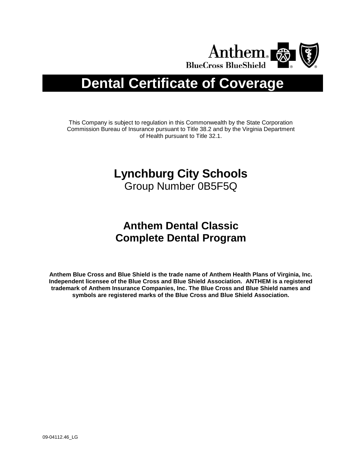

# **Dental Certificate of Coverage**

This Company is subject to regulation in this Commonwealth by the State Corporation Commission Bureau of Insurance pursuant to Title 38.2 and by the Virginia Department of Health pursuant to Title 32.1.

# **Lynchburg City Schools**

Group Number 0B5F5Q

# **Anthem Dental Classic Complete Dental Program**

**Anthem Blue Cross and Blue Shield is the trade name of Anthem Health Plans of Virginia, Inc. Independent licensee of the Blue Cross and Blue Shield Association. ANTHEM is a registered trademark of Anthem Insurance Companies, Inc. The Blue Cross and Blue Shield names and symbols are registered marks of the Blue Cross and Blue Shield Association.**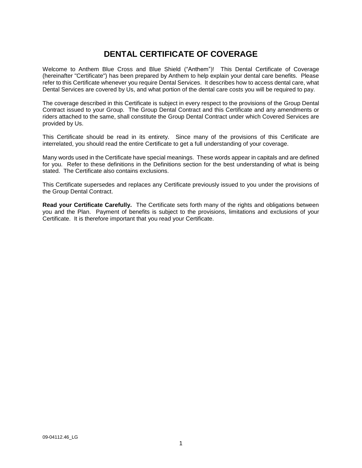# **DENTAL CERTIFICATE OF COVERAGE**

Welcome to Anthem Blue Cross and Blue Shield ("Anthem")! This Dental Certificate of Coverage (hereinafter "Certificate") has been prepared by Anthem to help explain your dental care benefits. Please refer to this Certificate whenever you require Dental Services. It describes how to access dental care, what Dental Services are covered by Us, and what portion of the dental care costs you will be required to pay.

The coverage described in this Certificate is subject in every respect to the provisions of the Group Dental Contract issued to your Group. The Group Dental Contract and this Certificate and any amendments or riders attached to the same, shall constitute the Group Dental Contract under which Covered Services are provided by Us.

This Certificate should be read in its entirety. Since many of the provisions of this Certificate are interrelated, you should read the entire Certificate to get a full understanding of your coverage.

Many words used in the Certificate have special meanings. These words appear in capitals and are defined for you. Refer to these definitions in the Definitions section for the best understanding of what is being stated. The Certificate also contains exclusions.

This Certificate supersedes and replaces any Certificate previously issued to you under the provisions of the Group Dental Contract.

**Read your Certificate Carefully.** The Certificate sets forth many of the rights and obligations between you and the Plan. Payment of benefits is subject to the provisions, limitations and exclusions of your Certificate. It is therefore important that you read your Certificate.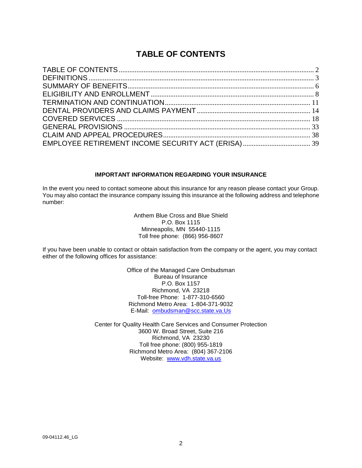# **TABLE OF CONTENTS**

#### **IMPORTANT INFORMATION REGARDING YOUR INSURANCE**

In the event you need to contact someone about this insurance for any reason please contact your Group. You may also contact the insurance company issuing this insurance at the following address and telephone number:

> Anthem Blue Cross and Blue Shield P.O. Box 1115 Minneapolis, MN 55440-1115 Toll free phone: (866) 956-8607

If you have been unable to contact or obtain satisfaction from the company or the agent, you may contact either of the following offices for assistance:

> Office of the Managed Care Ombudsman Bureau of Insurance P.O. Box 1157 Richmond, VA 23218 Toll-free Phone: 1-877-310-6560 Richmond Metro Area: 1-804-371-9032 E-Mail: [ombudsman@scc.state.va.Us](mailto:ombudsman@scc.state.va.us)

Center for Quality Health Care Services and Consumer Protection 3600 W. Broad Street, Suite 216 Richmond, VA 23230 Toll free phone: (800) 955-1819 Richmond Metro Area: (804) 367-2106 Website: www.vdh.state.va.us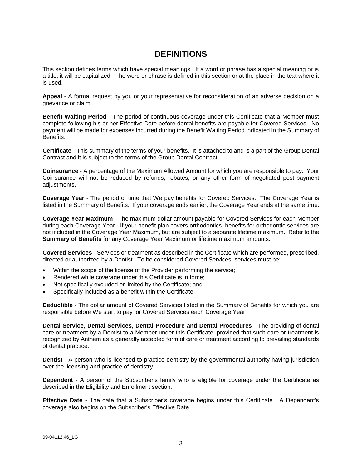# **DEFINITIONS**

This section defines terms which have special meanings. If a word or phrase has a special meaning or is a title, it will be capitalized. The word or phrase is defined in this section or at the place in the text where it is used.

**Appeal** - A formal request by you or your representative for reconsideration of an adverse decision on a grievance or claim.

**Benefit Waiting Period** - The period of continuous coverage under this Certificate that a Member must complete following his or her Effective Date before dental benefits are payable for Covered Services. No payment will be made for expenses incurred during the Benefit Waiting Period indicated in the Summary of Benefits.

**Certificate** - This summary of the terms of your benefits. It is attached to and is a part of the Group Dental Contract and it is subject to the terms of the Group Dental Contract.

**Coinsurance** - A percentage of the Maximum Allowed Amount for which you are responsible to pay. Your Coinsurance will not be reduced by refunds, rebates, or any other form of negotiated post-payment adjustments.

**Coverage Year** - The period of time that We pay benefits for Covered Services. The Coverage Year is listed in the Summary of Benefits. If your coverage ends earlier, the Coverage Year ends at the same time.

**Coverage Year Maximum** - The maximum dollar amount payable for Covered Services for each Member during each Coverage Year. If your benefit plan covers orthodontics, benefits for orthodontic services are not included in the Coverage Year Maximum, but are subject to a separate lifetime maximum. Refer to the **Summary of Benefits** for any Coverage Year Maximum or lifetime maximum amounts.

**Covered Services** - Services or treatment as described in the Certificate which are performed, prescribed, directed or authorized by a Dentist. To be considered Covered Services, services must be:

- Within the scope of the license of the Provider performing the service;
- **Rendered while coverage under this Certificate is in force;**
- Not specifically excluded or limited by the Certificate; and
- Specifically included as a benefit within the Certificate.

**Deductible** - The dollar amount of Covered Services listed in the Summary of Benefits for which you are responsible before We start to pay for Covered Services each Coverage Year.

**Dental Service**, **Dental Services**, **Dental Procedure and Dental Procedures** - The providing of dental care or treatment by a Dentist to a Member under this Certificate, provided that such care or treatment is recognized by Anthem as a generally accepted form of care or treatment according to prevailing standards of dental practice.

**Dentist** - A person who is licensed to practice dentistry by the governmental authority having jurisdiction over the licensing and practice of dentistry.

**Dependent** - A person of the Subscriber's family who is eligible for coverage under the Certificate as described in the Eligibility and Enrollment section.

**Effective Date** - The date that a Subscriber's coverage begins under this Certificate. A Dependent's coverage also begins on the Subscriber's Effective Date.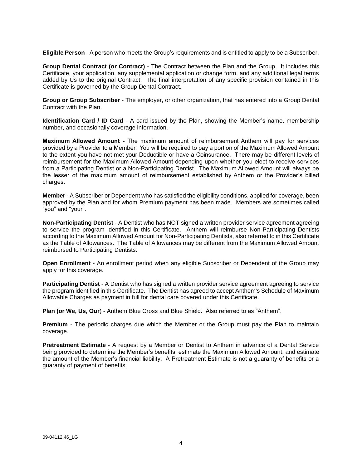**Eligible Person** - A person who meets the Group's requirements and is entitled to apply to be a Subscriber.

**Group Dental Contract (or Contract)** - The Contract between the Plan and the Group. It includes this Certificate, your application, any supplemental application or change form, and any additional legal terms added by Us to the original Contract. The final interpretation of any specific provision contained in this Certificate is governed by the Group Dental Contract.

**Group or Group Subscriber** - The employer, or other organization, that has entered into a Group Dental Contract with the Plan.

**Identification Card / ID Card** - A card issued by the Plan, showing the Member's name, membership number, and occasionally coverage information.

**Maximum Allowed Amount** - The maximum amount of reimbursement Anthem will pay for services provided by a Provider to a Member. You will be required to pay a portion of the Maximum Allowed Amount to the extent you have not met your Deductible or have a Coinsurance. There may be different levels of reimbursement for the Maximum Allowed Amount depending upon whether you elect to receive services from a Participating Dentist or a Non-Participating Dentist. The Maximum Allowed Amount will always be the lesser of the maximum amount of reimbursement established by Anthem or the Provider's billed charges.

**Member** - A Subscriber or Dependent who has satisfied the eligibility conditions, applied for coverage, been approved by the Plan and for whom Premium payment has been made. Members are sometimes called "you" and "your".

**Non-Participating Dentist** - A Dentist who has NOT signed a written provider service agreement agreeing to service the program identified in this Certificate. Anthem will reimburse Non-Participating Dentists according to the Maximum Allowed Amount for Non-Participating Dentists, also referred to in this Certificate as the Table of Allowances. The Table of Allowances may be different from the Maximum Allowed Amount reimbursed to Participating Dentists.

**Open Enrollment** - An enrollment period when any eligible Subscriber or Dependent of the Group may apply for this coverage.

**Participating Dentist** - A Dentist who has signed a written provider service agreement agreeing to service the program identified in this Certificate. The Dentist has agreed to accept Anthem's Schedule of Maximum Allowable Charges as payment in full for dental care covered under this Certificate.

**Plan (or We, Us, Our**) - Anthem Blue Cross and Blue Shield. Also referred to as "Anthem".

**Premium** - The periodic charges due which the Member or the Group must pay the Plan to maintain coverage.

**Pretreatment Estimate** - A request by a Member or Dentist to Anthem in advance of a Dental Service being provided to determine the Member's benefits, estimate the Maximum Allowed Amount, and estimate the amount of the Member's financial liability. A Pretreatment Estimate is not a guaranty of benefits or a guaranty of payment of benefits.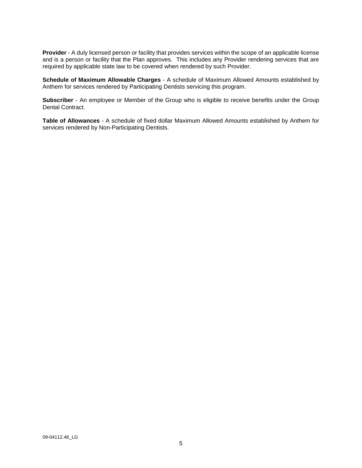**Provider** - A duly licensed person or facility that provides services within the scope of an applicable license and is a person or facility that the Plan approves. This includes any Provider rendering services that are required by applicable state law to be covered when rendered by such Provider.

**Schedule of Maximum Allowable Charges** - A schedule of Maximum Allowed Amounts established by Anthem for services rendered by Participating Dentists servicing this program.

**Subscriber** - An employee or Member of the Group who is eligible to receive benefits under the Group Dental Contract.

**Table of Allowances** - A schedule of fixed dollar Maximum Allowed Amounts established by Anthem for services rendered by Non-Participating Dentists.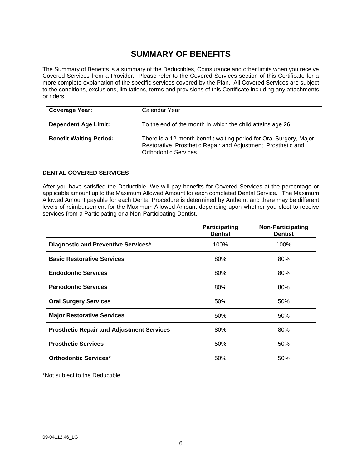# **SUMMARY OF BENEFITS**

The Summary of Benefits is a summary of the Deductibles, Coinsurance and other limits when you receive Covered Services from a Provider. Please refer to the Covered Services section of this Certificate for a more complete explanation of the specific services covered by the Plan. All Covered Services are subject to the conditions, exclusions, limitations, terms and provisions of this Certificate including any attachments or riders.

| <b>Coverage Year:</b>          | Calendar Year                                                                                                                                                       |
|--------------------------------|---------------------------------------------------------------------------------------------------------------------------------------------------------------------|
|                                |                                                                                                                                                                     |
| <b>Dependent Age Limit:</b>    | To the end of the month in which the child attains age 26.                                                                                                          |
|                                |                                                                                                                                                                     |
| <b>Benefit Waiting Period:</b> | There is a 12-month benefit waiting period for Oral Surgery, Major<br>Restorative, Prosthetic Repair and Adjustment, Prosthetic and<br><b>Orthodontic Services.</b> |

# **DENTAL COVERED SERVICES**

After you have satisfied the Deductible, We will pay benefits for Covered Services at the percentage or applicable amount up to the Maximum Allowed Amount for each completed Dental Service. The Maximum Allowed Amount payable for each Dental Procedure is determined by Anthem, and there may be different levels of reimbursement for the Maximum Allowed Amount depending upon whether you elect to receive services from a Participating or a Non-Participating Dentist.

|                                                  | Participating<br><b>Dentist</b> | <b>Non-Participating</b><br><b>Dentist</b> |
|--------------------------------------------------|---------------------------------|--------------------------------------------|
| Diagnostic and Preventive Services*              | 100%                            | 100%                                       |
| <b>Basic Restorative Services</b>                | 80%                             | 80%                                        |
| <b>Endodontic Services</b>                       | 80%                             | 80%                                        |
| <b>Periodontic Services</b>                      | 80%                             | 80%                                        |
| <b>Oral Surgery Services</b>                     | 50%                             | 50%                                        |
| <b>Major Restorative Services</b>                | 50%                             | 50%                                        |
| <b>Prosthetic Repair and Adjustment Services</b> | 80%                             | 80%                                        |
| <b>Prosthetic Services</b>                       | 50%                             | 50%                                        |
| <b>Orthodontic Services*</b>                     | 50%                             | 50%                                        |

\*Not subject to the Deductible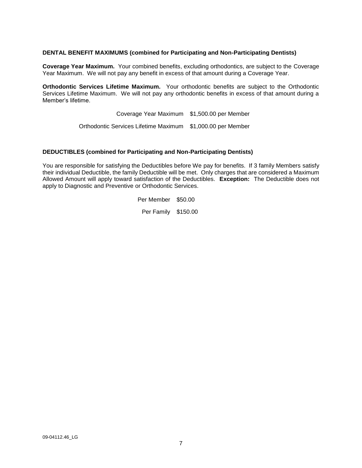#### **DENTAL BENEFIT MAXIMUMS (combined for Participating and Non-Participating Dentists)**

**Coverage Year Maximum.** Your combined benefits, excluding orthodontics, are subject to the Coverage Year Maximum. We will not pay any benefit in excess of that amount during a Coverage Year.

**Orthodontic Services Lifetime Maximum.** Your orthodontic benefits are subject to the Orthodontic Services Lifetime Maximum. We will not pay any orthodontic benefits in excess of that amount during a Member's lifetime.

> Coverage Year Maximum \$1,500.00 per Member Orthodontic Services Lifetime Maximum \$1,000.00 per Member

#### **DEDUCTIBLES (combined for Participating and Non-Participating Dentists)**

You are responsible for satisfying the Deductibles before We pay for benefits. If 3 family Members satisfy their individual Deductible, the family Deductible will be met. Only charges that are considered a Maximum Allowed Amount will apply toward satisfaction of the Deductibles. **Exception:** The Deductible does not apply to Diagnostic and Preventive or Orthodontic Services.

Per Member \$50.00

Per Family \$150.00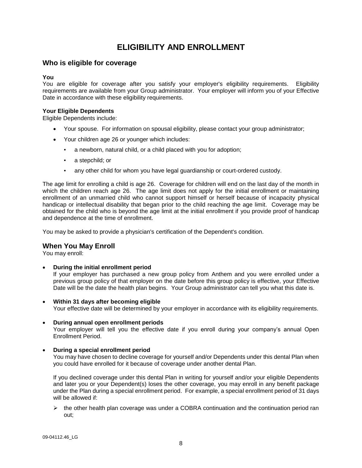# **ELIGIBILITY AND ENROLLMENT**

# **Who is eligible for coverage**

#### **You**

You are eligible for coverage after you satisfy your employer's eligibility requirements. Eligibility requirements are available from your Group administrator. Your employer will inform you of your Effective Date in accordance with these eligibility requirements.

#### **Your Eligible Dependents**

Eligible Dependents include:

- Your spouse. For information on spousal eligibility, please contact your group administrator;
- Your children age 26 or younger which includes:
	- a newborn, natural child, or a child placed with you for adoption;
	- a stepchild; or
	- any other child for whom you have legal guardianship or court-ordered custody.

The age limit for enrolling a child is age 26. Coverage for children will end on the last day of the month in which the children reach age 26. The age limit does not apply for the initial enrollment or maintaining enrollment of an unmarried child who cannot support himself or herself because of incapacity physical handicap or intellectual disability that began prior to the child reaching the age limit. Coverage may be obtained for the child who is beyond the age limit at the initial enrollment if you provide proof of handicap and dependence at the time of enrollment.

You may be asked to provide a physician's certification of the Dependent's condition.

# **When You May Enroll**

You may enroll:

**During the initial enrollment period**

If your employer has purchased a new group policy from Anthem and you were enrolled under a previous group policy of that employer on the date before this group policy is effective, your Effective Date will be the date the health plan begins. Your Group administrator can tell you what this date is.

- **Within 31 days after becoming eligible** Your effective date will be determined by your employer in accordance with its eligibility requirements.
- **During annual open enrollment periods**

Your employer will tell you the effective date if you enroll during your company's annual Open Enrollment Period.

#### **During a special enrollment period**

You may have chosen to decline coverage for yourself and/or Dependents under this dental Plan when you could have enrolled for it because of coverage under another dental Plan.

If you declined coverage under this dental Plan in writing for yourself and/or your eligible Dependents and later you or your Dependent(s) loses the other coverage, you may enroll in any benefit package under the Plan during a special enrollment period. For example, a special enrollment period of 31 days will be allowed if:

 $\triangleright$  the other health plan coverage was under a COBRA continuation and the continuation period ran out;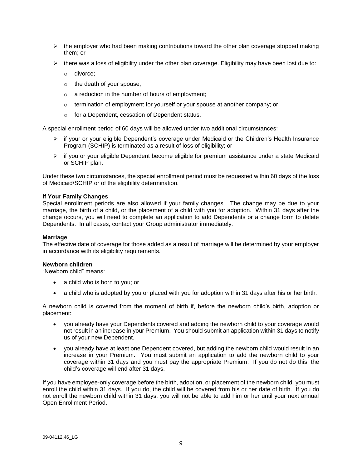- $\triangleright$  the employer who had been making contributions toward the other plan coverage stopped making them; or
- $\triangleright$  there was a loss of eligibility under the other plan coverage. Eligibility may have been lost due to:
	- o divorce;
	- o the death of your spouse;
	- o a reduction in the number of hours of employment;
	- $\circ$  termination of employment for yourself or your spouse at another company; or
	- o for a Dependent, cessation of Dependent status.

A special enrollment period of 60 days will be allowed under two additional circumstances:

- $\triangleright$  if your or your eligible Dependent's coverage under Medicaid or the Children's Health Insurance Program (SCHIP) is terminated as a result of loss of eligibility; or
- $\triangleright$  if you or your eligible Dependent become eligible for premium assistance under a state Medicaid or SCHIP plan.

Under these two circumstances, the special enrollment period must be requested within 60 days of the loss of Medicaid/SCHIP or of the eligibility determination.

#### **If Your Family Changes**

Special enrollment periods are also allowed if your family changes. The change may be due to your marriage, the birth of a child, or the placement of a child with you for adoption. Within 31 days after the change occurs, you will need to complete an application to add Dependents or a change form to delete Dependents. In all cases, contact your Group administrator immediately.

#### **Marriage**

The effective date of coverage for those added as a result of marriage will be determined by your employer in accordance with its eligibility requirements.

#### **Newborn children**

"Newborn child" means:

- a child who is born to you; or
- a child who is adopted by you or placed with you for adoption within 31 days after his or her birth.

A newborn child is covered from the moment of birth if, before the newborn child's birth, adoption or placement:

- you already have your Dependents covered and adding the newborn child to your coverage would not result in an increase in your Premium. You should submit an application within 31 days to notify us of your new Dependent.
- you already have at least one Dependent covered, but adding the newborn child would result in an increase in your Premium. You must submit an application to add the newborn child to your coverage within 31 days and you must pay the appropriate Premium. If you do not do this, the child's coverage will end after 31 days.

If you have employee-only coverage before the birth, adoption, or placement of the newborn child, you must enroll the child within 31 days. If you do, the child will be covered from his or her date of birth. If you do not enroll the newborn child within 31 days, you will not be able to add him or her until your next annual Open Enrollment Period.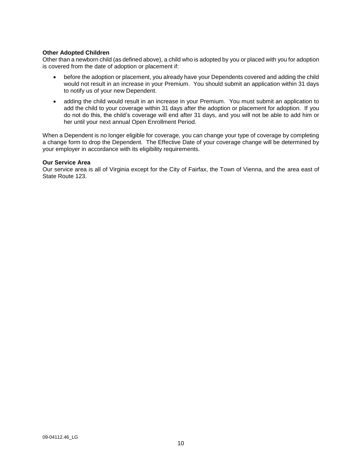#### **Other Adopted Children**

Other than a newborn child (as defined above), a child who is adopted by you or placed with you for adoption is covered from the date of adoption or placement if:

- before the adoption or placement, you already have your Dependents covered and adding the child would not result in an increase in your Premium. You should submit an application within 31 days to notify us of your new Dependent.
- adding the child would result in an increase in your Premium. You must submit an application to add the child to your coverage within 31 days after the adoption or placement for adoption. If you do not do this, the child's coverage will end after 31 days, and you will not be able to add him or her until your next annual Open Enrollment Period.

When a Dependent is no longer eligible for coverage, you can change your type of coverage by completing a change form to drop the Dependent. The Effective Date of your coverage change will be determined by your employer in accordance with its eligibility requirements.

#### **Our Service Area**

Our service area is all of Virginia except for the City of Fairfax, the Town of Vienna, and the area east of State Route 123.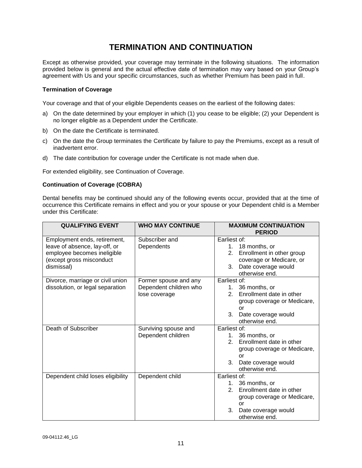# **TERMINATION AND CONTINUATION**

Except as otherwise provided, your coverage may terminate in the following situations. The information provided below is general and the actual effective date of termination may vary based on your Group's agreement with Us and your specific circumstances, such as whether Premium has been paid in full.

# **Termination of Coverage**

Your coverage and that of your eligible Dependents ceases on the earliest of the following dates:

- a) On the date determined by your employer in which (1) you cease to be eligible; (2) your Dependent is no longer eligible as a Dependent under the Certificate.
- b) On the date the Certificate is terminated.
- c) On the date the Group terminates the Certificate by failure to pay the Premiums, except as a result of inadvertent error.
- d) The date contribution for coverage under the Certificate is not made when due.

For extended eligibility, see Continuation of Coverage.

#### **Continuation of Coverage (COBRA)**

Dental benefits may be continued should any of the following events occur, provided that at the time of occurrence this Certificate remains in effect and you or your spouse or your Dependent child is a Member under this Certificate:

| <b>QUALIFYING EVENT</b>                                       | <b>WHO MAY CONTINUE</b>      | <b>MAXIMUM CONTINUATION</b><br><b>PERIOD</b>             |
|---------------------------------------------------------------|------------------------------|----------------------------------------------------------|
| Employment ends, retirement,<br>leave of absence, lay-off, or | Subscriber and<br>Dependents | Earliest of:<br>1. 18 months, or                         |
| employee becomes ineligible<br>(except gross misconduct       |                              | 2. Enrollment in other group<br>coverage or Medicare, or |
| dismissal)                                                    |                              | 3. Date coverage would<br>otherwise end.                 |
| Divorce, marriage or civil union                              | Former spouse and any        | Earliest of:                                             |
| dissolution, or legal separation                              | Dependent children who       | 1. 36 months, or                                         |
|                                                               | lose coverage                | 2. Enrollment date in other                              |
|                                                               |                              | group coverage or Medicare,                              |
|                                                               |                              | or                                                       |
|                                                               |                              | 3.<br>Date coverage would                                |
|                                                               |                              | otherwise end.                                           |
| Death of Subscriber                                           | Surviving spouse and         | Earliest of:                                             |
|                                                               | Dependent children           | 1. 36 months, or                                         |
|                                                               |                              | 2. Enrollment date in other                              |
|                                                               |                              | group coverage or Medicare,<br>or                        |
|                                                               |                              | 3.<br>Date coverage would<br>otherwise end.              |
| Dependent child loses eligibility                             | Dependent child              | Earliest of:                                             |
|                                                               |                              | 1. 36 months, or                                         |
|                                                               |                              | Enrollment date in other<br>2.                           |
|                                                               |                              | group coverage or Medicare,                              |
|                                                               |                              | or                                                       |
|                                                               |                              | 3.<br>Date coverage would                                |
|                                                               |                              | otherwise end.                                           |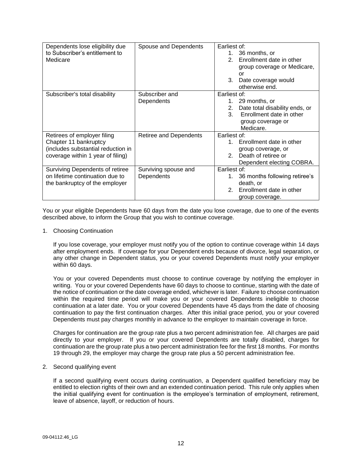| Dependents lose eligibility due    | Spouse and Dependents  | Earliest of:                               |
|------------------------------------|------------------------|--------------------------------------------|
| to Subscriber's entitlement to     |                        | 36 months, or<br>1.                        |
| Medicare                           |                        | Enrollment date in other<br>$\mathcal{P}$  |
|                                    |                        | group coverage or Medicare,                |
|                                    |                        | or                                         |
|                                    |                        | 3.<br>Date coverage would                  |
|                                    |                        | otherwise end.                             |
| Subscriber's total disability      | Subscriber and         | Earliest of:                               |
|                                    | Dependents             | 29 months, or<br>$1_{-}$                   |
|                                    |                        | 2. Date total disability ends, or          |
|                                    |                        | Enrollment date in other<br>3              |
|                                    |                        | group coverage or                          |
|                                    |                        | Medicare.                                  |
| Retirees of employer filing        | Retiree and Dependents | Earliest of:                               |
| Chapter 11 bankruptcy              |                        | 1. Enrollment date in other                |
| (includes substantial reduction in |                        | group coverage, or                         |
| coverage within 1 year of filing)  |                        | Death of retiree or<br>$\mathcal{P}$       |
|                                    |                        | Dependent electing COBRA.                  |
| Surviving Dependents of retiree    | Surviving spouse and   | Earliest of:                               |
| on lifetime continuation due to    | Dependents             | 1. 36 months following retiree's           |
| the bankruptcy of the employer     |                        | death, or                                  |
|                                    |                        | Enrollment date in other<br>2 <sup>1</sup> |
|                                    |                        | group coverage.                            |

You or your eligible Dependents have 60 days from the date you lose coverage, due to one of the events described above, to inform the Group that you wish to continue coverage.

1. Choosing Continuation

If you lose coverage, your employer must notify you of the option to continue coverage within 14 days after employment ends. If coverage for your Dependent ends because of divorce, legal separation, or any other change in Dependent status, you or your covered Dependents must notify your employer within 60 days.

You or your covered Dependents must choose to continue coverage by notifying the employer in writing. You or your covered Dependents have 60 days to choose to continue, starting with the date of the notice of continuation or the date coverage ended, whichever is later. Failure to choose continuation within the required time period will make you or your covered Dependents ineligible to choose continuation at a later date. You or your covered Dependents have 45 days from the date of choosing continuation to pay the first continuation charges. After this initial grace period, you or your covered Dependents must pay charges monthly in advance to the employer to maintain coverage in force.

Charges for continuation are the group rate plus a two percent administration fee. All charges are paid directly to your employer. If you or your covered Dependents are totally disabled, charges for continuation are the group rate plus a two percent administration fee for the first 18 months. For months 19 through 29, the employer may charge the group rate plus a 50 percent administration fee.

2. Second qualifying event

If a second qualifying event occurs during continuation, a Dependent qualified beneficiary may be entitled to election rights of their own and an extended continuation period. This rule only applies when the initial qualifying event for continuation is the employee's termination of employment, retirement, leave of absence, layoff, or reduction of hours.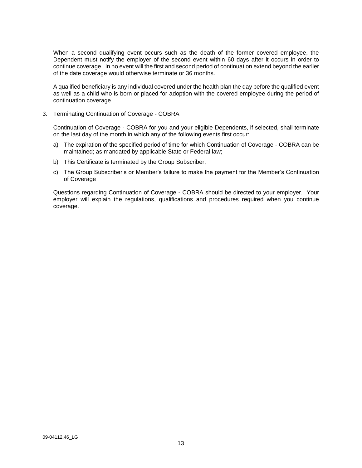When a second qualifying event occurs such as the death of the former covered employee, the Dependent must notify the employer of the second event within 60 days after it occurs in order to continue coverage. In no event will the first and second period of continuation extend beyond the earlier of the date coverage would otherwise terminate or 36 months.

A qualified beneficiary is any individual covered under the health plan the day before the qualified event as well as a child who is born or placed for adoption with the covered employee during the period of continuation coverage.

3. Terminating Continuation of Coverage - COBRA

Continuation of Coverage - COBRA for you and your eligible Dependents, if selected, shall terminate on the last day of the month in which any of the following events first occur:

- a) The expiration of the specified period of time for which Continuation of Coverage COBRA can be maintained; as mandated by applicable State or Federal law;
- b) This Certificate is terminated by the Group Subscriber;
- c) The Group Subscriber's or Member's failure to make the payment for the Member's Continuation of Coverage

Questions regarding Continuation of Coverage - COBRA should be directed to your employer. Your employer will explain the regulations, qualifications and procedures required when you continue coverage.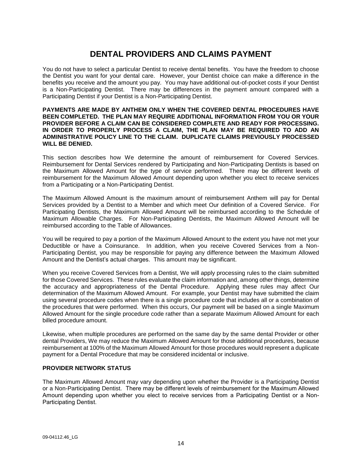# **DENTAL PROVIDERS AND CLAIMS PAYMENT**

You do not have to select a particular Dentist to receive dental benefits. You have the freedom to choose the Dentist you want for your dental care. However, your Dentist choice can make a difference in the benefits you receive and the amount you pay. You may have additional out-of-pocket costs if your Dentist is a Non-Participating Dentist. There may be differences in the payment amount compared with a Participating Dentist if your Dentist is a Non-Participating Dentist.

#### **PAYMENTS ARE MADE BY ANTHEM ONLY WHEN THE COVERED DENTAL PROCEDURES HAVE BEEN COMPLETED. THE PLAN MAY REQUIRE ADDITIONAL INFORMATION FROM YOU OR YOUR PROVIDER BEFORE A CLAIM CAN BE CONSIDERED COMPLETE AND READY FOR PROCESSING. IN ORDER TO PROPERLY PROCESS A CLAIM, THE PLAN MAY BE REQUIRED TO ADD AN ADMINISTRATIVE POLICY LINE TO THE CLAIM. DUPLICATE CLAIMS PREVIOUSLY PROCESSED WILL BE DENIED.**

This section describes how We determine the amount of reimbursement for Covered Services. Reimbursement for Dental Services rendered by Participating and Non-Participating Dentists is based on the Maximum Allowed Amount for the type of service performed. There may be different levels of reimbursement for the Maximum Allowed Amount depending upon whether you elect to receive services from a Participating or a Non-Participating Dentist.

The Maximum Allowed Amount is the maximum amount of reimbursement Anthem will pay for Dental Services provided by a Dentist to a Member and which meet Our definition of a Covered Service. For Participating Dentists, the Maximum Allowed Amount will be reimbursed according to the Schedule of Maximum Allowable Charges. For Non-Participating Dentists, the Maximum Allowed Amount will be reimbursed according to the Table of Allowances.

You will be required to pay a portion of the Maximum Allowed Amount to the extent you have not met your Deductible or have a Coinsurance. In addition, when you receive Covered Services from a Non-Participating Dentist, you may be responsible for paying any difference between the Maximum Allowed Amount and the Dentist's actual charges. This amount may be significant.

When you receive Covered Services from a Dentist, We will apply processing rules to the claim submitted for those Covered Services. These rules evaluate the claim information and, among other things, determine the accuracy and appropriateness of the Dental Procedure. Applying these rules may affect Our determination of the Maximum Allowed Amount. For example, your Dentist may have submitted the claim using several procedure codes when there is a single procedure code that includes all or a combination of the procedures that were performed. When this occurs, Our payment will be based on a single Maximum Allowed Amount for the single procedure code rather than a separate Maximum Allowed Amount for each billed procedure amount.

Likewise, when multiple procedures are performed on the same day by the same dental Provider or other dental Providers, We may reduce the Maximum Allowed Amount for those additional procedures, because reimbursement at 100% of the Maximum Allowed Amount for those procedures would represent a duplicate payment for a Dental Procedure that may be considered incidental or inclusive.

# **PROVIDER NETWORK STATUS**

The Maximum Allowed Amount may vary depending upon whether the Provider is a Participating Dentist or a Non-Participating Dentist. There may be different levels of reimbursement for the Maximum Allowed Amount depending upon whether you elect to receive services from a Participating Dentist or a Non-Participating Dentist.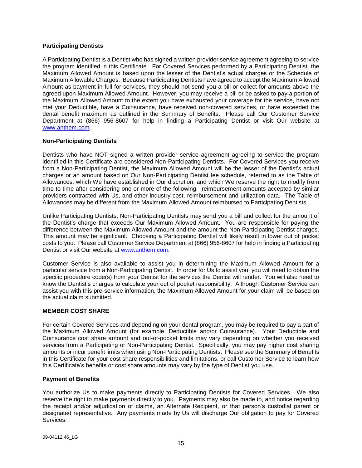### **Participating Dentists**

A Participating Dentist is a Dentist who has signed a written provider service agreement agreeing to service the program identified in this Certificate. For Covered Services performed by a Participating Dentist, the Maximum Allowed Amount is based upon the lesser of the Dentist's actual charges or the Schedule of Maximum Allowable Charges. Because Participating Dentists have agreed to accept the Maximum Allowed Amount as payment in full for services, they should not send you a bill or collect for amounts above the agreed upon Maximum Allowed Amount. However, you may receive a bill or be asked to pay a portion of the Maximum Allowed Amount to the extent you have exhausted your coverage for the service, have not met your Deductible, have a Coinsurance, have received non-covered services, or have exceeded the dental benefit maximum as outlined in the Summary of Benefits. Please call Our Customer Service Department at (866) 956-8607 for help in finding a Participating Dentist or visit Our website at [www.anthem.com.](http://www.anthem.com/)

# **Non-Participating Dentists**

Dentists who have NOT signed a written provider service agreement agreeing to service the program identified in this Certificate are considered Non-Participating Dentists. For Covered Services you receive from a Non-Participating Dentist, the Maximum Allowed Amount will be the lesser of the Dentist's actual charges or an amount based on Our Non-Participating Dentist fee schedule, referred to as the Table of Allowances, which We have established in Our discretion, and which We reserve the right to modify from time to time after considering one or more of the following: reimbursement amounts accepted by similar providers contracted with Us, and other industry cost, reimbursement and utilization data. The Table of Allowances may be different from the Maximum Allowed Amount reimbursed to Participating Dentists.

Unlike Participating Dentists, Non-Participating Dentists may send you a bill and collect for the amount of the Dentist's charge that exceeds Our Maximum Allowed Amount. You are responsible for paying the difference between the Maximum Allowed Amount and the amount the Non-Participating Dentist charges. This amount may be significant. Choosing a Participating Dentist will likely result in lower out of pocket costs to you. Please call Customer Service Department at (866) 956-8607 for help in finding a Participating Dentist or visit Our website at www.anthem.com.

Customer Service is also available to assist you in determining the Maximum Allowed Amount for a particular service from a Non-Participating Dentist. In order for Us to assist you, you will need to obtain the specific procedure code(s) from your Dentist for the services the Dentist will render. You will also need to know the Dentist's charges to calculate your out of pocket responsibility. Although Customer Service can assist you with this pre-service information, the Maximum Allowed Amount for your claim will be based on the actual claim submitted.

# **MEMBER COST SHARE**

For certain Covered Services and depending on your dental program, you may be required to pay a part of the Maximum Allowed Amount (for example, Deductible and/or Coinsurance). Your Deductible and Coinsurance cost share amount and out-of-pocket limits may vary depending on whether you received services from a Participating or Non-Participating Dentist. Specifically, you may pay higher cost sharing amounts or incur benefit limits when using Non-Participating Dentists. Please see the Summary of Benefits in this Certificate for your cost share responsibilities and limitations, or call Customer Service to learn how this Certificate's benefits or cost share amounts may vary by the type of Dentist you use.

#### **Payment of Benefits**

You authorize Us to make payments directly to Participating Dentists for Covered Services. We also reserve the right to make payments directly to you. Payments may also be made to, and notice regarding the receipt and/or adjudication of claims, an Alternate Recipient, or that person's custodial parent or designated representative. Any payments made by Us will discharge Our obligation to pay for Covered Services.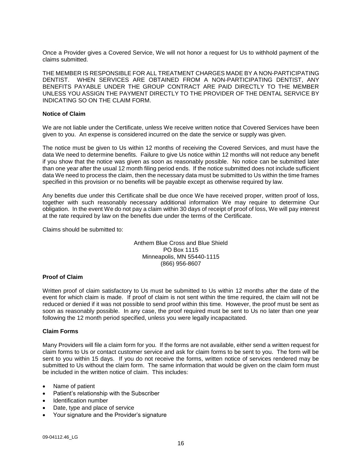Once a Provider gives a Covered Service, We will not honor a request for Us to withhold payment of the claims submitted.

THE MEMBER IS RESPONSIBLE FOR ALL TREATMENT CHARGES MADE BY A NON-PARTICIPATING DENTIST. WHEN SERVICES ARE OBTAINED FROM A NON-PARTICIPATING DENTIST, ANY BENEFITS PAYABLE UNDER THE GROUP CONTRACT ARE PAID DIRECTLY TO THE MEMBER UNLESS YOU ASSIGN THE PAYMENT DIRECTLY TO THE PROVIDER OF THE DENTAL SERVICE BY INDICATING SO ON THE CLAIM FORM.

### **Notice of Claim**

We are not liable under the Certificate, unless We receive written notice that Covered Services have been given to you. An expense is considered incurred on the date the service or supply was given.

The notice must be given to Us within 12 months of receiving the Covered Services, and must have the data We need to determine benefits. Failure to give Us notice within 12 months will not reduce any benefit if you show that the notice was given as soon as reasonably possible. No notice can be submitted later than one year after the usual 12 month filing period ends. If the notice submitted does not include sufficient data We need to process the claim, then the necessary data must be submitted to Us within the time frames specified in this provision or no benefits will be payable except as otherwise required by law.

Any benefits due under this Certificate shall be due once We have received proper, written proof of loss, together with such reasonably necessary additional information We may require to determine Our obligation. In the event We do not pay a claim within 30 days of receipt of proof of loss, We will pay interest at the rate required by law on the benefits due under the terms of the Certificate.

Claims should be submitted to:

Anthem Blue Cross and Blue Shield PO Box 1115 Minneapolis, MN 55440-1115 (866) 956-8607

# **Proof of Claim**

Written proof of claim satisfactory to Us must be submitted to Us within 12 months after the date of the event for which claim is made. If proof of claim is not sent within the time required, the claim will not be reduced or denied if it was not possible to send proof within this time. However, the proof must be sent as soon as reasonably possible. In any case, the proof required must be sent to Us no later than one year following the 12 month period specified, unless you were legally incapacitated.

# **Claim Forms**

Many Providers will file a claim form for you. If the forms are not available, either send a written request for claim forms to Us or contact customer service and ask for claim forms to be sent to you. The form will be sent to you within 15 days. If you do not receive the forms, written notice of services rendered may be submitted to Us without the claim form. The same information that would be given on the claim form must be included in the written notice of claim. This includes:

- Name of patient
- Patient's relationship with the Subscriber
- Identification number
- Date, type and place of service
- Your signature and the Provider's signature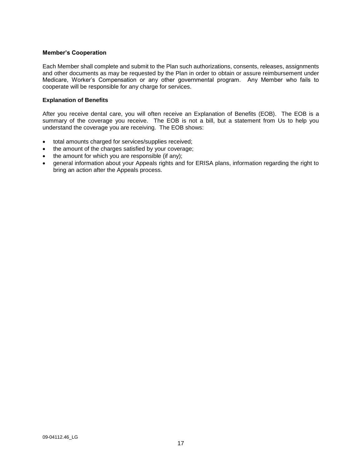#### **Member's Cooperation**

Each Member shall complete and submit to the Plan such authorizations, consents, releases, assignments and other documents as may be requested by the Plan in order to obtain or assure reimbursement under Medicare, Worker's Compensation or any other governmental program. Any Member who fails to cooperate will be responsible for any charge for services.

#### **Explanation of Benefits**

After you receive dental care, you will often receive an Explanation of Benefits (EOB). The EOB is a summary of the coverage you receive. The EOB is not a bill, but a statement from Us to help you understand the coverage you are receiving. The EOB shows:

- total amounts charged for services/supplies received;
- the amount of the charges satisfied by your coverage;
- the amount for which you are responsible (if any);
- general information about your Appeals rights and for ERISA plans, information regarding the right to bring an action after the Appeals process.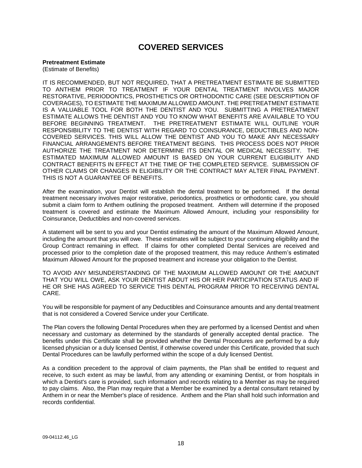# **COVERED SERVICES**

### **Pretreatment Estimate**

(Estimate of Benefits)

IT IS RECOMMENDED, BUT NOT REQUIRED, THAT A PRETREATMENT ESTIMATE BE SUBMITTED TO ANTHEM PRIOR TO TREATMENT IF YOUR DENTAL TREATMENT INVOLVES MAJOR RESTORATIVE, PERIODONTICS, PROSTHETICS OR ORTHODONTIC CARE (SEE DESCRIPTION OF COVERAGES), TO ESTIMATE THE MAXIMUM ALLOWED AMOUNT. THE PRETREATMENT ESTIMATE IS A VALUABLE TOOL FOR BOTH THE DENTIST AND YOU. SUBMITTING A PRETREATMENT ESTIMATE ALLOWS THE DENTIST AND YOU TO KNOW WHAT BENEFITS ARE AVAILABLE TO YOU BEFORE BEGINNING TREATMENT. THE PRETREATMENT ESTIMATE WILL OUTLINE YOUR RESPONSIBILITY TO THE DENTIST WITH REGARD TO COINSURANCE, DEDUCTIBLES AND NON-COVERED SERVICES. THIS WILL ALLOW THE DENTIST AND YOU TO MAKE ANY NECESSARY FINANCIAL ARRANGEMENTS BEFORE TREATMENT BEGINS. THIS PROCESS DOES NOT PRIOR AUTHORIZE THE TREATMENT NOR DETERMINE ITS DENTAL OR MEDICAL NECESSITY. THE ESTIMATED MAXIMUM ALLOWED AMOUNT IS BASED ON YOUR CURRENT ELIGIBILITY AND CONTRACT BENEFITS IN EFFECT AT THE TIME OF THE COMPLETED SERVICE. SUBMISSION OF OTHER CLAIMS OR CHANGES IN ELIGIBILITY OR THE CONTRACT MAY ALTER FINAL PAYMENT. THIS IS NOT A GUARANTEE OF BENEFITS.

After the examination, your Dentist will establish the dental treatment to be performed. If the dental treatment necessary involves major restorative, periodontics, prosthetics or orthodontic care, you should submit a claim form to Anthem outlining the proposed treatment. Anthem will determine if the proposed treatment is covered and estimate the Maximum Allowed Amount, including your responsibility for Coinsurance, Deductibles and non-covered services.

A statement will be sent to you and your Dentist estimating the amount of the Maximum Allowed Amount, including the amount that you will owe. These estimates will be subject to your continuing eligibility and the Group Contract remaining in effect. If claims for other completed Dental Services are received and processed prior to the completion date of the proposed treatment, this may reduce Anthem's estimated Maximum Allowed Amount for the proposed treatment and increase your obligation to the Dentist.

TO AVOID ANY MISUNDERSTANDING OF THE MAXIMUM ALLOWED AMOUNT OR THE AMOUNT THAT YOU WILL OWE, ASK YOUR DENTIST ABOUT HIS OR HER PARTICIPATION STATUS AND IF HE OR SHE HAS AGREED TO SERVICE THIS DENTAL PROGRAM PRIOR TO RECEIVING DENTAL CARE.

You will be responsible for payment of any Deductibles and Coinsurance amounts and any dental treatment that is not considered a Covered Service under your Certificate.

The Plan covers the following Dental Procedures when they are performed by a licensed Dentist and when necessary and customary as determined by the standards of generally accepted dental practice. The benefits under this Certificate shall be provided whether the Dental Procedures are performed by a duly licensed physician or a duly licensed Dentist, if otherwise covered under this Certificate, provided that such Dental Procedures can be lawfully performed within the scope of a duly licensed Dentist.

As a condition precedent to the approval of claim payments, the Plan shall be entitled to request and receive, to such extent as may be lawful, from any attending or examining Dentist, or from hospitals in which a Dentist's care is provided, such information and records relating to a Member as may be required to pay claims. Also, the Plan may require that a Member be examined by a dental consultant retained by Anthem in or near the Member's place of residence. Anthem and the Plan shall hold such information and records confidential.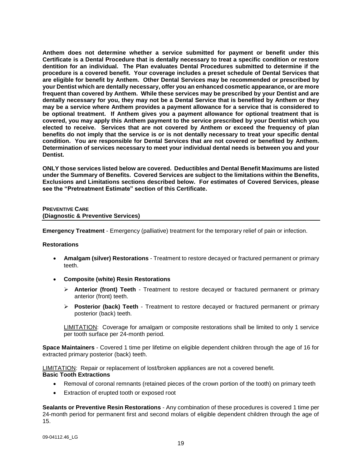**Anthem does not determine whether a service submitted for payment or benefit under this Certificate is a Dental Procedure that is dentally necessary to treat a specific condition or restore dentition for an individual. The Plan evaluates Dental Procedures submitted to determine if the procedure is a covered benefit. Your coverage includes a preset schedule of Dental Services that are eligible for benefit by Anthem. Other Dental Services may be recommended or prescribed by your Dentist which are dentally necessary, offer you an enhanced cosmetic appearance, or are more frequent than covered by Anthem. While these services may be prescribed by your Dentist and are dentally necessary for you, they may not be a Dental Service that is benefited by Anthem or they may be a service where Anthem provides a payment allowance for a service that is considered to be optional treatment. If Anthem gives you a payment allowance for optional treatment that is covered, you may apply this Anthem payment to the service prescribed by your Dentist which you elected to receive. Services that are not covered by Anthem or exceed the frequency of plan benefits do not imply that the service is or is not dentally necessary to treat your specific dental condition. You are responsible for Dental Services that are not covered or benefited by Anthem. Determination of services necessary to meet your individual dental needs is between you and your Dentist.**

**ONLY those services listed below are covered. Deductibles and Dental Benefit Maximums are listed under the Summary of Benefits. Covered Services are subject to the limitations within the Benefits, Exclusions and Limitations sections described below. For estimates of Covered Services, please see the "Pretreatment Estimate" section of this Certificate.**

# **PREVENTIVE CARE (Diagnostic & Preventive Services)**

**Emergency Treatment** - Emergency (palliative) treatment for the temporary relief of pain or infection.

#### **Restorations**

- **Amalgam (silver) Restorations** Treatment to restore decayed or fractured permanent or primary teeth.
- **Composite (white) Resin Restorations**
	- **Anterior (front) Teeth** Treatment to restore decayed or fractured permanent or primary anterior (front) teeth.
	- **Posterior (back) Teeth** Treatment to restore decayed or fractured permanent or primary posterior (back) teeth.

LIMITATION: Coverage for amalgam or composite restorations shall be limited to only 1 service per tooth surface per 24-month period.

**Space Maintainers** - Covered 1 time per lifetime on eligible dependent children through the age of 16 for extracted primary posterior (back) teeth.

LIMITATION: Repair or replacement of lost/broken appliances are not a covered benefit. **Basic Tooth Extractions**

- Removal of coronal remnants (retained pieces of the crown portion of the tooth) on primary teeth
- Extraction of erupted tooth or exposed root

**Sealants or Preventive Resin Restorations** - Any combination of these procedures is covered 1 time per 24-month period for permanent first and second molars of eligible dependent children through the age of 15.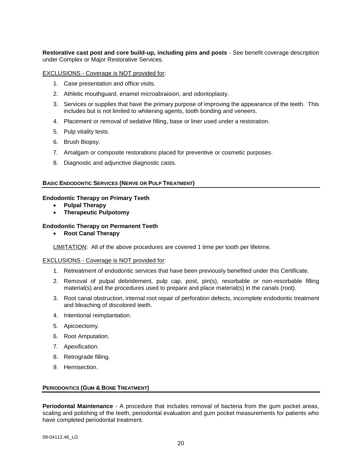**Restorative cast post and core build-up, including pins and posts** - See benefit coverage description under Complex or Major Restorative Services.

#### EXCLUSIONS - Coverage is NOT provided for:

- 1. Case presentation and office visits.
- 2. Athletic mouthguard, enamel microabraision, and odontoplasty.
- 3. Services or supplies that have the primary purpose of improving the appearance of the teeth. This includes but is not limited to whitening agents, tooth bonding and veneers.
- 4. Placement or removal of sedative filling, base or liner used under a restoration.
- 5. Pulp vitality tests.
- 6. Brush Biopsy.
- 7. Amalgam or composite restorations placed for preventive or cosmetic purposes.
- 8. Diagnostic and adjunctive diagnostic casts.

#### **BASIC ENDODONTIC SERVICES (NERVE OR PULP TREATMENT)**

#### **Endodontic Therapy on Primary Teeth**

- **Pulpal Therapy**
- **Therapeutic Pulpotomy**

#### **Endodontic Therapy on Permanent Teeth**

**Root Canal Therapy**

LIMITATION: All of the above procedures are covered 1 time per tooth per lifetime.

#### EXCLUSIONS - Coverage is NOT provided for:

- 1. Retreatment of endodontic services that have been previously benefited under this Certificate.
- 2. Removal of pulpal debridement, pulp cap, post, pin(s), resorbable or non-resorbable filling material(s) and the procedures used to prepare and place material(s) in the canals (root).
- 3. Root canal obstruction, internal root repair of perforation defects, incomplete endodontic treatment and bleaching of discolored teeth.
- 4. Intentional reimplantation.
- 5. Apicoectomy.
- 6. Root Amputation.
- 7. Apexification.
- 8. Retrograde filling.
- 9. Hemisection.

#### **PERIODONTICS (GUM & BONE TREATMENT)**

**Periodontal Maintenance** - A procedure that includes removal of bacteria from the gum pocket areas, scaling and polishing of the teeth, periodontal evaluation and gum pocket measurements for patients who have completed periodontal treatment.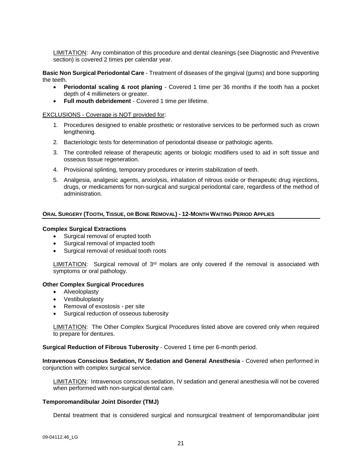LIMITATION: Any combination of this procedure and dental cleanings (see Diagnostic and Preventive section) is covered 2 times per calendar year.

**Basic Non Surgical Periodontal Care** - Treatment of diseases of the gingival (gums) and bone supporting the teeth.

- **Periodontal scaling & root planing** Covered 1 time per 36 months if the tooth has a pocket depth of 4 millimeters or greater.
- **Full mouth debridement** Covered 1 time per lifetime.

#### EXCLUSIONS - Coverage is NOT provided for:

- 1. Procedures designed to enable prosthetic or restorative services to be performed such as crown lengthening.
- 2. Bacteriologic tests for determination of periodontal disease or pathologic agents.
- 3. The controlled release of therapeutic agents or biologic modifiers used to aid in soft tissue and osseous tissue regeneration.
- 4. Provisional splinting, temporary procedures or interim stabilization of teeth.
- 5. Analgesia, analgesic agents, anxiolysis, inhalation of nitrous oxide or therapeutic drug injections, drugs, or medicaments for non-surgical and surgical periodontal care, regardless of the method of administration.

#### ORAL SURGERY (TOOTH, TISSUE, OR BONE REMOVAL) - 12-MONTH WAITING PERIOD APPLIES

#### **Complex Surgical Extractions**

- Surgical removal of erupted tooth
- Surgical removal of impacted tooth
- Surgical removal of residual tooth roots

LIMITATION: Surgical removal of  $3<sup>rd</sup>$  molars are only covered if the removal is associated with symptoms or oral pathology.

#### **Other Complex Surgical Procedures**

- Alveoloplasty
- Vestibuloplasty
- Removal of exostosis per site
- Surgical reduction of osseous tuberosity

LIMITATION: The Other Complex Surgical Procedures listed above are covered only when required to prepare for dentures.

**Surgical Reduction of Fibrous Tuberosity** - Covered 1 time per 6-month period.

**Intravenous Conscious Sedation, IV Sedation and General Anesthesia** - Covered when performed in conjunction with complex surgical service.

LIMITATION: Intravenous conscious sedation, IV sedation and general anesthesia will not be covered when performed with non-surgical dental care.

#### **Temporomandibular Joint Disorder (TMJ)**

Dental treatment that is considered surgical and nonsurgical treatment of temporomandibular joint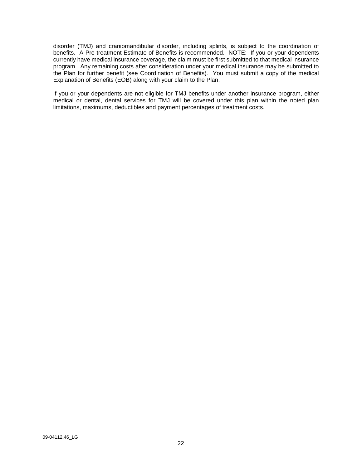disorder (TMJ) and craniomandibular disorder, including splints, is subject to the coordination of benefits. A Pre-treatment Estimate of Benefits is recommended. NOTE: If you or your dependents currently have medical insurance coverage, the claim must be first submitted to that medical insurance program. Any remaining costs after consideration under your medical insurance may be submitted to the Plan for further benefit (see Coordination of Benefits). You must submit a copy of the medical Explanation of Benefits (EOB) along with your claim to the Plan.

If you or your dependents are not eligible for TMJ benefits under another insurance program, either medical or dental, dental services for TMJ will be covered under this plan within the noted plan limitations, maximums, deductibles and payment percentages of treatment costs.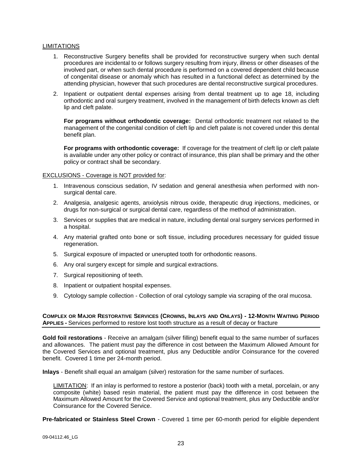#### LIMITATIONS

- 1. Reconstructive Surgery benefits shall be provided for reconstructive surgery when such dental procedures are incidental to or follows surgery resulting from injury, illness or other diseases of the involved part, or when such dental procedure is performed on a covered dependent child because of congenital disease or anomaly which has resulted in a functional defect as determined by the attending physician, however that such procedures are dental reconstructive surgical procedures.
- 2. Inpatient or outpatient dental expenses arising from dental treatment up to age 18, including orthodontic and oral surgery treatment, involved in the management of birth defects known as cleft lip and cleft palate.

**For programs without orthodontic coverage:** Dental orthodontic treatment not related to the management of the congenital condition of cleft lip and cleft palate is not covered under this dental benefit plan.

**For programs with orthodontic coverage:** If coverage for the treatment of cleft lip or cleft palate is available under any other policy or contract of insurance, this plan shall be primary and the other policy or contract shall be secondary.

#### EXCLUSIONS - Coverage is NOT provided for:

- 1. Intravenous conscious sedation, IV sedation and general anesthesia when performed with nonsurgical dental care.
- 2. Analgesia, analgesic agents, anxiolysis nitrous oxide, therapeutic drug injections, medicines, or drugs for non-surgical or surgical dental care, regardless of the method of administration.
- 3. Services or supplies that are medical in nature, including dental oral surgery services performed in a hospital.
- 4. Any material grafted onto bone or soft tissue, including procedures necessary for guided tissue regeneration.
- 5. Surgical exposure of impacted or unerupted tooth for orthodontic reasons.
- 6. Any oral surgery except for simple and surgical extractions.
- 7. Surgical repositioning of teeth.
- 8. Inpatient or outpatient hospital expenses.
- 9. Cytology sample collection Collection of oral cytology sample via scraping of the oral mucosa.

#### COMPLEX OR MAJOR RESTORATIVE SERVICES (CROWNS, INLAYS AND ONLAYS) - 12-MONTH WAITING PERIOD **APPLIES -** Services performed to restore lost tooth structure as a result of decay or fracture

**Gold foil restorations** - Receive an amalgam (silver filling) benefit equal to the same number of surfaces and allowances. The patient must pay the difference in cost between the Maximum Allowed Amount for the Covered Services and optional treatment, plus any Deductible and/or Coinsurance for the covered benefit. Covered 1 time per 24-month period.

**Inlays** - Benefit shall equal an amalgam (silver) restoration for the same number of surfaces.

LIMITATION: If an inlay is performed to restore a posterior (back) tooth with a metal, porcelain, or any composite (white) based resin material, the patient must pay the difference in cost between the Maximum Allowed Amount for the Covered Service and optional treatment, plus any Deductible and/or Coinsurance for the Covered Service.

**Pre-fabricated or Stainless Steel Crown** - Covered 1 time per 60-month period for eligible dependent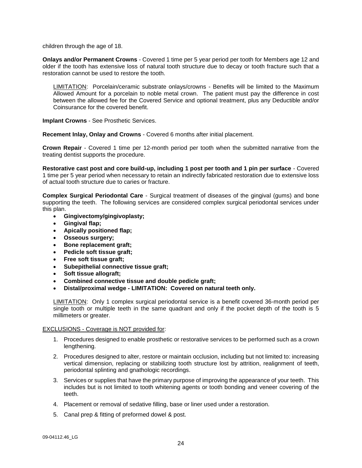children through the age of 18.

**Onlays and/or Permanent Crowns** - Covered 1 time per 5 year period per tooth for Members age 12 and older if the tooth has extensive loss of natural tooth structure due to decay or tooth fracture such that a restoration cannot be used to restore the tooth.

LIMITATION: Porcelain/ceramic substrate onlays/crowns - Benefits will be limited to the Maximum Allowed Amount for a porcelain to noble metal crown. The patient must pay the difference in cost between the allowed fee for the Covered Service and optional treatment, plus any Deductible and/or Coinsurance for the covered benefit.

**Implant Crowns** - See Prosthetic Services.

**Recement Inlay, Onlay and Crowns** - Covered 6 months after initial placement.

**Crown Repair** - Covered 1 time per 12-month period per tooth when the submitted narrative from the treating dentist supports the procedure.

**Restorative cast post and core build-up, including 1 post per tooth and 1 pin per surface** - Covered 1 time per 5 year period when necessary to retain an indirectly fabricated restoration due to extensive loss of actual tooth structure due to caries or fracture.

**Complex Surgical Periodontal Care** - Surgical treatment of diseases of the gingival (gums) and bone supporting the teeth. The following services are considered complex surgical periodontal services under this plan.

- **Gingivectomy/gingivoplasty;**
- **Gingival flap;**
- **Apically positioned flap;**
- **Osseous surgery;**
- **Bone replacement graft;**
- **Pedicle soft tissue graft;**
- **Free soft tissue graft;**
- **Subepithelial connective tissue graft;**
- **Soft tissue allograft;**
- **Combined connective tissue and double pedicle graft;**
- **Distal/proximal wedge - LIMITATION: Covered on natural teeth only.**

LIMITATION: Only 1 complex surgical periodontal service is a benefit covered 36-month period per single tooth or multiple teeth in the same quadrant and only if the pocket depth of the tooth is 5 millimeters or greater.

#### EXCLUSIONS - Coverage is NOT provided for:

- 1. Procedures designed to enable prosthetic or restorative services to be performed such as a crown lengthening.
- 2. Procedures designed to alter, restore or maintain occlusion, including but not limited to: increasing vertical dimension, replacing or stabilizing tooth structure lost by attrition, realignment of teeth, periodontal splinting and gnathologic recordings.
- 3. Services or supplies that have the primary purpose of improving the appearance of your teeth. This includes but is not limited to tooth whitening agents or tooth bonding and veneer covering of the teeth.
- 4. Placement or removal of sedative filling, base or liner used under a restoration.
- 5. Canal prep & fitting of preformed dowel & post.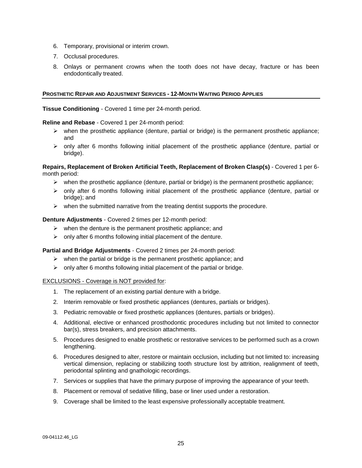- 6. Temporary, provisional or interim crown.
- 7. Occlusal procedures.
- 8. Onlays or permanent crowns when the tooth does not have decay, fracture or has been endodontically treated.

#### **PROSTHETIC REPAIR AND ADJUSTMENT SERVICES - 12-MONTH WAITING PERIOD APPLIES**

**Tissue Conditioning** - Covered 1 time per 24-month period.

#### **Reline and Rebase** - Covered 1 per 24-month period:

- $\triangleright$  when the prosthetic appliance (denture, partial or bridge) is the permanent prosthetic appliance; and
- $\triangleright$  only after 6 months following initial placement of the prosthetic appliance (denture, partial or bridge).

#### **Repairs, Replacement of Broken Artificial Teeth, Replacement of Broken Clasp(s)** - Covered 1 per 6 month period:

- $\triangleright$  when the prosthetic appliance (denture, partial or bridge) is the permanent prosthetic appliance;
- $\triangleright$  only after 6 months following initial placement of the prosthetic appliance (denture, partial or bridge); and
- $\triangleright$  when the submitted narrative from the treating dentist supports the procedure.

#### **Denture Adjustments** - Covered 2 times per 12-month period:

- $\triangleright$  when the denture is the permanent prosthetic appliance; and
- $\triangleright$  only after 6 months following initial placement of the denture.

#### **Partial and Bridge Adjustments** - Covered 2 times per 24-month period:

- $\triangleright$  when the partial or bridge is the permanent prosthetic appliance; and
- $\triangleright$  only after 6 months following initial placement of the partial or bridge.

#### EXCLUSIONS - Coverage is NOT provided for:

- 1. The replacement of an existing partial denture with a bridge.
- 2. Interim removable or fixed prosthetic appliances (dentures, partials or bridges).
- 3. Pediatric removable or fixed prosthetic appliances (dentures, partials or bridges).
- 4. Additional, elective or enhanced prosthodontic procedures including but not limited to connector bar(s), stress breakers, and precision attachments.
- 5. Procedures designed to enable prosthetic or restorative services to be performed such as a crown lengthening.
- 6. Procedures designed to alter, restore or maintain occlusion, including but not limited to: increasing vertical dimension, replacing or stabilizing tooth structure lost by attrition, realignment of teeth, periodontal splinting and gnathologic recordings.
- 7. Services or supplies that have the primary purpose of improving the appearance of your teeth.
- 8. Placement or removal of sedative filling, base or liner used under a restoration.
- 9. Coverage shall be limited to the least expensive professionally acceptable treatment.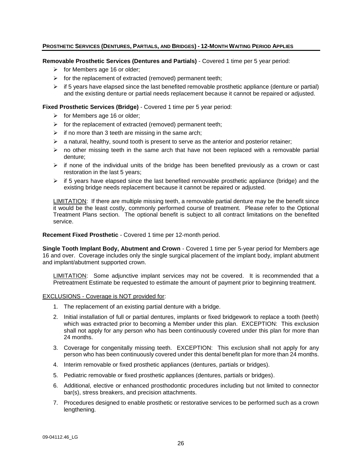# PROSTHETIC SERVICES (DENTURES, PARTIALS, AND BRIDGES) - 12-MONTH WAITING PERIOD APPLIES

**Removable Prosthetic Services (Dentures and Partials)** - Covered 1 time per 5 year period:

- $\triangleright$  for Members age 16 or older;
- $\triangleright$  for the replacement of extracted (removed) permanent teeth;
- $\triangleright$  if 5 years have elapsed since the last benefited removable prosthetic appliance (denture or partial) and the existing denture or partial needs replacement because it cannot be repaired or adjusted.

#### **Fixed Prosthetic Services (Bridge)** - Covered 1 time per 5 year period:

- $\triangleright$  for Members age 16 or older;
- $\triangleright$  for the replacement of extracted (removed) permanent teeth;
- $\triangleright$  if no more than 3 teeth are missing in the same arch;
- $\triangleright$  a natural, healthy, sound tooth is present to serve as the anterior and posterior retainer;
- $\triangleright$  no other missing teeth in the same arch that have not been replaced with a removable partial denture;
- $\triangleright$  if none of the individual units of the bridge has been benefited previously as a crown or cast restoration in the last 5 years;
- $\triangleright$  if 5 years have elapsed since the last benefited removable prosthetic appliance (bridge) and the existing bridge needs replacement because it cannot be repaired or adjusted.

LIMITATION: If there are multiple missing teeth, a removable partial denture may be the benefit since it would be the least costly, commonly performed course of treatment. Please refer to the Optional Treatment Plans section. The optional benefit is subject to all contract limitations on the benefited service.

#### **Recement Fixed Prosthetic** - Covered 1 time per 12-month period.

**Single Tooth Implant Body, Abutment and Crown** - Covered 1 time per 5-year period for Members age 16 and over. Coverage includes only the single surgical placement of the implant body, implant abutment and implant/abutment supported crown.

LIMITATION: Some adjunctive implant services may not be covered. It is recommended that a Pretreatment Estimate be requested to estimate the amount of payment prior to beginning treatment.

#### EXCLUSIONS - Coverage is NOT provided for:

- 1. The replacement of an existing partial denture with a bridge.
- 2. Initial installation of full or partial dentures, implants or fixed bridgework to replace a tooth (teeth) which was extracted prior to becoming a Member under this plan. EXCEPTION: This exclusion shall not apply for any person who has been continuously covered under this plan for more than 24 months.
- 3. Coverage for congenitally missing teeth. EXCEPTION: This exclusion shall not apply for any person who has been continuously covered under this dental benefit plan for more than 24 months.
- 4. Interim removable or fixed prosthetic appliances (dentures, partials or bridges).
- 5. Pediatric removable or fixed prosthetic appliances (dentures, partials or bridges).
- 6. Additional, elective or enhanced prosthodontic procedures including but not limited to connector bar(s), stress breakers, and precision attachments.
- 7. Procedures designed to enable prosthetic or restorative services to be performed such as a crown lengthening.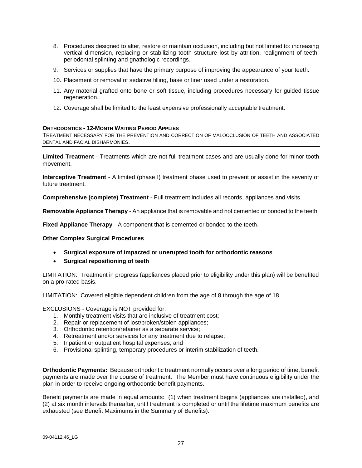- 8. Procedures designed to alter, restore or maintain occlusion, including but not limited to: increasing vertical dimension, replacing or stabilizing tooth structure lost by attrition, realignment of teeth, periodontal splinting and gnathologic recordings.
- 9. Services or supplies that have the primary purpose of improving the appearance of your teeth.
- 10. Placement or removal of sedative filling, base or liner used under a restoration.
- 11. Any material grafted onto bone or soft tissue, including procedures necessary for guided tissue regeneration.
- 12. Coverage shall be limited to the least expensive professionally acceptable treatment.

#### **ORTHODONTICS - 12-MONTH WAITING PERIOD APPLIES**

TREATMENT NECESSARY FOR THE PREVENTION AND CORRECTION OF MALOCCLUSION OF TEETH AND ASSOCIATED DENTAL AND FACIAL DISHARMONIES.

**Limited Treatment** - Treatments which are not full treatment cases and are usually done for minor tooth movement.

**Interceptive Treatment** - A limited (phase I) treatment phase used to prevent or assist in the severity of future treatment.

**Comprehensive (complete) Treatment** - Full treatment includes all records, appliances and visits.

**Removable Appliance Therapy** - An appliance that is removable and not cemented or bonded to the teeth.

**Fixed Appliance Therapy** - A component that is cemented or bonded to the teeth.

#### **Other Complex Surgical Procedures**

- **Surgical exposure of impacted or unerupted tooth for orthodontic reasons**
- **Surgical repositioning of teeth**

LIMITATION: Treatment in progress (appliances placed prior to eligibility under this plan) will be benefited on a pro-rated basis.

LIMITATION: Covered eligible dependent children from the age of 8 through the age of 18.

EXCLUSIONS - Coverage is NOT provided for:

- 1. Monthly treatment visits that are inclusive of treatment cost;
- 2. Repair or replacement of lost/broken/stolen appliances;
- 3. Orthodontic retention/retainer as a separate service;
- 4. Retreatment and/or services for any treatment due to relapse;
- 5. Inpatient or outpatient hospital expenses; and
- 6. Provisional splinting, temporary procedures or interim stabilization of teeth.

**Orthodontic Payments:** Because orthodontic treatment normally occurs over a long period of time, benefit payments are made over the course of treatment. The Member must have continuous eligibility under the plan in order to receive ongoing orthodontic benefit payments.

Benefit payments are made in equal amounts: (1) when treatment begins (appliances are installed), and (2) at six month intervals thereafter, until treatment is completed or until the lifetime maximum benefits are exhausted (see Benefit Maximums in the Summary of Benefits).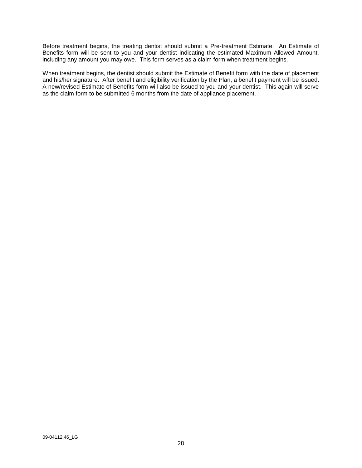Before treatment begins, the treating dentist should submit a Pre-treatment Estimate. An Estimate of Benefits form will be sent to you and your dentist indicating the estimated Maximum Allowed Amount, including any amount you may owe. This form serves as a claim form when treatment begins.

When treatment begins, the dentist should submit the Estimate of Benefit form with the date of placement and his/her signature. After benefit and eligibility verification by the Plan, a benefit payment will be issued. A new/revised Estimate of Benefits form will also be issued to you and your dentist. This again will serve as the claim form to be submitted 6 months from the date of appliance placement.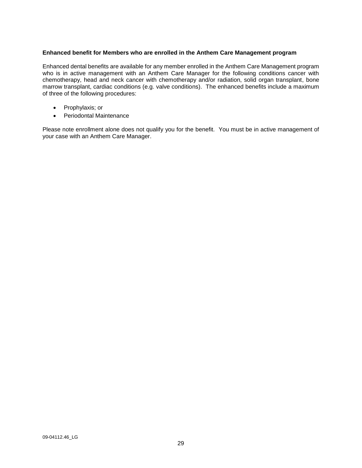### **Enhanced benefit for Members who are enrolled in the Anthem Care Management program**

Enhanced dental benefits are available for any member enrolled in the Anthem Care Management program who is in active management with an Anthem Care Manager for the following conditions cancer with chemotherapy, head and neck cancer with chemotherapy and/or radiation, solid organ transplant, bone marrow transplant, cardiac conditions (e.g. valve conditions). The enhanced benefits include a maximum of three of the following procedures:

- Prophylaxis; or
- Periodontal Maintenance

Please note enrollment alone does not qualify you for the benefit. You must be in active management of your case with an Anthem Care Manager.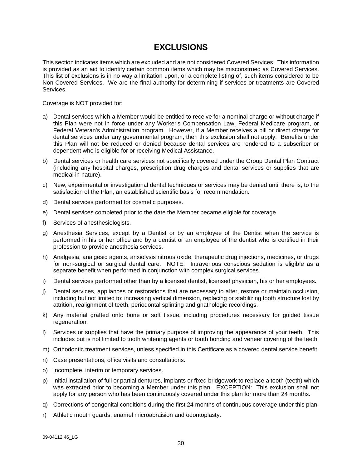# **EXCLUSIONS**

This section indicates items which are excluded and are not considered Covered Services. This information is provided as an aid to identify certain common items which may be misconstrued as Covered Services. This list of exclusions is in no way a limitation upon, or a complete listing of, such items considered to be Non-Covered Services. We are the final authority for determining if services or treatments are Covered Services.

Coverage is NOT provided for:

- a) Dental services which a Member would be entitled to receive for a nominal charge or without charge if this Plan were not in force under any Worker's Compensation Law, Federal Medicare program, or Federal Veteran's Administration program. However, if a Member receives a bill or direct charge for dental services under any governmental program, then this exclusion shall not apply. Benefits under this Plan will not be reduced or denied because dental services are rendered to a subscriber or dependent who is eligible for or receiving Medical Assistance.
- b) Dental services or health care services not specifically covered under the Group Dental Plan Contract (including any hospital charges, prescription drug charges and dental services or supplies that are medical in nature).
- c) New, experimental or investigational dental techniques or services may be denied until there is, to the satisfaction of the Plan, an established scientific basis for recommendation.
- d) Dental services performed for cosmetic purposes.
- e) Dental services completed prior to the date the Member became eligible for coverage.
- f) Services of anesthesiologists.
- g) Anesthesia Services, except by a Dentist or by an employee of the Dentist when the service is performed in his or her office and by a dentist or an employee of the dentist who is certified in their profession to provide anesthesia services.
- h) Analgesia, analgesic agents, anxiolysis nitrous oxide, therapeutic drug injections, medicines, or drugs for non-surgical or surgical dental care. NOTE: Intravenous conscious sedation is eligible as a separate benefit when performed in conjunction with complex surgical services.
- i) Dental services performed other than by a licensed dentist, licensed physician, his or her employees.
- j) Dental services, appliances or restorations that are necessary to alter, restore or maintain occlusion, including but not limited to: increasing vertical dimension, replacing or stabilizing tooth structure lost by attrition, realignment of teeth, periodontal splinting and gnathologic recordings.
- k) Any material grafted onto bone or soft tissue, including procedures necessary for guided tissue regeneration.
- l) Services or supplies that have the primary purpose of improving the appearance of your teeth. This includes but is not limited to tooth whitening agents or tooth bonding and veneer covering of the teeth.
- m) Orthodontic treatment services, unless specified in this Certificate as a covered dental service benefit.
- n) Case presentations, office visits and consultations.
- o) Incomplete, interim or temporary services.
- p) Initial installation of full or partial dentures, implants or fixed bridgework to replace a tooth (teeth) which was extracted prior to becoming a Member under this plan. EXCEPTION: This exclusion shall not apply for any person who has been continuously covered under this plan for more than 24 months.
- q) Corrections of congenital conditions during the first 24 months of continuous coverage under this plan.
- r) Athletic mouth guards, enamel microabraision and odontoplasty.

09-04112.46\_LG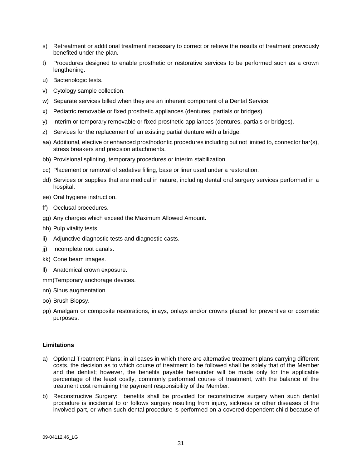- s) Retreatment or additional treatment necessary to correct or relieve the results of treatment previously benefited under the plan.
- t) Procedures designed to enable prosthetic or restorative services to be performed such as a crown lengthening.
- u) Bacteriologic tests.
- v) Cytology sample collection.
- w) Separate services billed when they are an inherent component of a Dental Service.
- x) Pediatric removable or fixed prosthetic appliances (dentures, partials or bridges).
- y) Interim or temporary removable or fixed prosthetic appliances (dentures, partials or bridges).
- z) Services for the replacement of an existing partial denture with a bridge.
- aa) Additional, elective or enhanced prosthodontic procedures including but not limited to, connector bar(s), stress breakers and precision attachments.
- bb) Provisional splinting, temporary procedures or interim stabilization.
- cc) Placement or removal of sedative filling, base or liner used under a restoration.
- dd) Services or supplies that are medical in nature, including dental oral surgery services performed in a hospital.
- ee) Oral hygiene instruction.
- ff) Occlusal procedures.
- gg) Any charges which exceed the Maximum Allowed Amount.
- hh) Pulp vitality tests.
- ii) Adjunctive diagnostic tests and diagnostic casts.
- ji) Incomplete root canals.
- kk) Cone beam images.
- ll) Anatomical crown exposure.
- mm)Temporary anchorage devices.
- nn) Sinus augmentation.
- oo) Brush Biopsy.
- pp) Amalgam or composite restorations, inlays, onlays and/or crowns placed for preventive or cosmetic purposes.

#### **Limitations**

- a) Optional Treatment Plans: in all cases in which there are alternative treatment plans carrying different costs, the decision as to which course of treatment to be followed shall be solely that of the Member and the dentist; however, the benefits payable hereunder will be made only for the applicable percentage of the least costly, commonly performed course of treatment, with the balance of the treatment cost remaining the payment responsibility of the Member.
- b) Reconstructive Surgery: benefits shall be provided for reconstructive surgery when such dental procedure is incidental to or follows surgery resulting from injury, sickness or other diseases of the involved part, or when such dental procedure is performed on a covered dependent child because of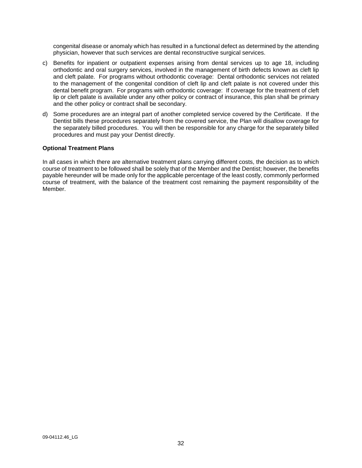congenital disease or anomaly which has resulted in a functional defect as determined by the attending physician, however that such services are dental reconstructive surgical services.

- c) Benefits for inpatient or outpatient expenses arising from dental services up to age 18, including orthodontic and oral surgery services, involved in the management of birth defects known as cleft lip and cleft palate. For programs without orthodontic coverage: Dental orthodontic services not related to the management of the congenital condition of cleft lip and cleft palate is not covered under this dental benefit program. For programs with orthodontic coverage: If coverage for the treatment of cleft lip or cleft palate is available under any other policy or contract of insurance, this plan shall be primary and the other policy or contract shall be secondary.
- d) Some procedures are an integral part of another completed service covered by the Certificate. If the Dentist bills these procedures separately from the covered service, the Plan will disallow coverage for the separately billed procedures. You will then be responsible for any charge for the separately billed procedures and must pay your Dentist directly.

# **Optional Treatment Plans**

In all cases in which there are alternative treatment plans carrying different costs, the decision as to which course of treatment to be followed shall be solely that of the Member and the Dentist; however, the benefits payable hereunder will be made only for the applicable percentage of the least costly, commonly performed course of treatment, with the balance of the treatment cost remaining the payment responsibility of the Member.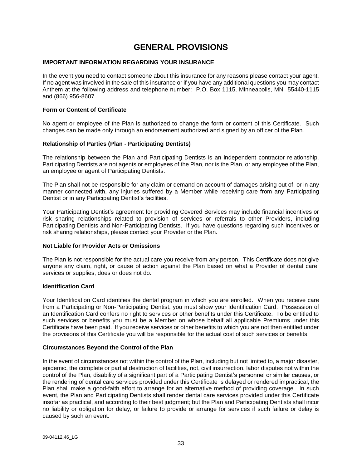# **GENERAL PROVISIONS**

# **IMPORTANT INFORMATION REGARDING YOUR INSURANCE**

In the event you need to contact someone about this insurance for any reasons please contact your agent. If no agent was involved in the sale of this insurance or if you have any additional questions you may contact Anthem at the following address and telephone number: P.O. Box 1115, Minneapolis, MN 55440-1115 and (866) 956-8607.

### **Form or Content of Certificate**

No agent or employee of the Plan is authorized to change the form or content of this Certificate. Such changes can be made only through an endorsement authorized and signed by an officer of the Plan.

# **Relationship of Parties (Plan - Participating Dentists)**

The relationship between the Plan and Participating Dentists is an independent contractor relationship. Participating Dentists are not agents or employees of the Plan, nor is the Plan, or any employee of the Plan, an employee or agent of Participating Dentists.

The Plan shall not be responsible for any claim or demand on account of damages arising out of, or in any manner connected with, any injuries suffered by a Member while receiving care from any Participating Dentist or in any Participating Dentist's facilities.

Your Participating Dentist's agreement for providing Covered Services may include financial incentives or risk sharing relationships related to provision of services or referrals to other Providers, including Participating Dentists and Non-Participating Dentists. If you have questions regarding such incentives or risk sharing relationships, please contact your Provider or the Plan.

#### **Not Liable for Provider Acts or Omissions**

The Plan is not responsible for the actual care you receive from any person. This Certificate does not give anyone any claim, right, or cause of action against the Plan based on what a Provider of dental care, services or supplies, does or does not do.

### **Identification Card**

Your Identification Card identifies the dental program in which you are enrolled. When you receive care from a Participating or Non-Participating Dentist, you must show your Identification Card. Possession of an Identification Card confers no right to services or other benefits under this Certificate. To be entitled to such services or benefits you must be a Member on whose behalf all applicable Premiums under this Certificate have been paid. If you receive services or other benefits to which you are not then entitled under the provisions of this Certificate you will be responsible for the actual cost of such services or benefits.

#### **Circumstances Beyond the Control of the Plan**

In the event of circumstances not within the control of the Plan, including but not limited to, a major disaster, epidemic, the complete or partial destruction of facilities, riot, civil insurrection, labor disputes not within the control of the Plan, disability of a significant part of a Participating Dentist's personnel or similar causes, or the rendering of dental care services provided under this Certificate is delayed or rendered impractical, the Plan shall make a good-faith effort to arrange for an alternative method of providing coverage. In such event, the Plan and Participating Dentists shall render dental care services provided under this Certificate insofar as practical, and according to their best judgment; but the Plan and Participating Dentists shall incur no liability or obligation for delay, or failure to provide or arrange for services if such failure or delay is caused by such an event.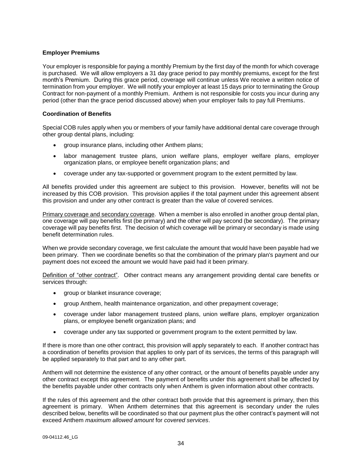# **Employer Premiums**

Your employer is responsible for paying a monthly Premium by the first day of the month for which coverage is purchased. We will allow employers a 31 day grace period to pay monthly premiums, except for the first month's Premium. During this grace period, coverage will continue unless We receive a written notice of termination from your employer. We will notify your employer at least 15 days prior to terminating the Group Contract for non-payment of a monthly Premium. Anthem is not responsible for costs you incur during any period (other than the grace period discussed above) when your employer fails to pay full Premiums.

# **Coordination of Benefits**

Special COB rules apply when you or members of your family have additional dental care coverage through other group dental plans, including:

- group insurance plans, including other Anthem plans;
- labor management trustee plans, union welfare plans, employer welfare plans, employer organization plans, or employee benefit organization plans; and
- coverage under any tax-supported or government program to the extent permitted by law.

All benefits provided under this agreement are subject to this provision. However, benefits will not be increased by this COB provision. This provision applies if the total payment under this agreement absent this provision and under any other contract is greater than the value of covered services.

Primary coverage and secondary coverage. When a member is also enrolled in another group dental plan, one coverage will pay benefits first (be primary) and the other will pay second (be secondary). The primary coverage will pay benefits first. The decision of which coverage will be primary or secondary is made using benefit determination rules.

When we provide secondary coverage, we first calculate the amount that would have been payable had we been primary. Then we coordinate benefits so that the combination of the primary plan's payment and our payment does not exceed the amount we would have paid had it been primary.

Definition of "other contract". Other contract means any arrangement providing dental care benefits or services through:

- group or blanket insurance coverage;
- group Anthem, health maintenance organization, and other prepayment coverage;
- coverage under labor management trusteed plans, union welfare plans, employer organization plans, or employee benefit organization plans; and
- coverage under any tax supported or government program to the extent permitted by law.

If there is more than one other contract*,* this provision will apply separately to each. If another contract has a coordination of benefits provision that applies to only part of its services, the terms of this paragraph will be applied separately to that part and to any other part.

Anthem will not determine the existence of any other contract*,* or the amount of benefits payable under any other contract except this agreement. The payment of benefits under this agreement shall be affected by the benefits payable under other contracts only when Anthem is given information about other contracts*.*

If the rules of this agreement and the other contract both provide that this agreement is primary, then this agreement is primary. When Anthem determines that this agreement is secondary under the rules described below, benefits will be coordinated so that our payment plus the other contract's payment will not exceed Anthem *maximum allowed amount* for *covered services*.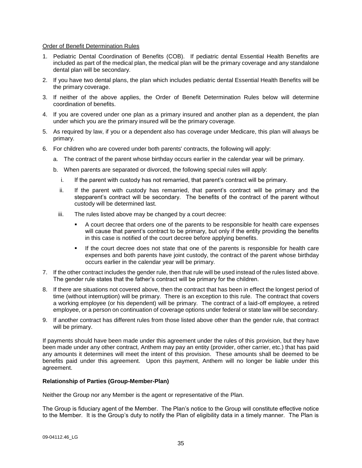### Order of Benefit Determination Rules

- 1. Pediatric Dental Coordination of Benefits (COB). If pediatric dental Essential Health Benefits are included as part of the medical plan, the medical plan will be the primary coverage and any standalone dental plan will be secondary.
- 2. If you have two dental plans, the plan which includes pediatric dental Essential Health Benefits will be the primary coverage.
- 3. If neither of the above applies, the Order of Benefit Determination Rules below will determine coordination of benefits.
- 4. If you are covered under one plan as a primary insured and another plan as a dependent, the plan under which you are the primary insured will be the primary coverage.
- 5. As required by law, if you or a dependent also has coverage under Medicare, this plan will always be primary.
- 6. For children who are covered under both parents' contracts, the following will apply:
	- a. The contract of the parent whose birthday occurs earlier in the calendar year will be primary.
	- b. When parents are separated or divorced, the following special rules will apply:
		- i. If the parent with custody has not remarried, that parent's contract will be primary.
		- ii. If the parent with custody has remarried, that parent's contract will be primary and the stepparent's contract will be secondary. The benefits of the contract of the parent without custody will be determined last.
		- iii. The rules listed above may be changed by a court decree:
			- A court decree that orders one of the parents to be responsible for health care expenses will cause that parent's contract to be primary, but only if the entity providing the benefits in this case is notified of the court decree before applying benefits.
			- If the court decree does not state that one of the parents is responsible for health care expenses and both parents have joint custody, the contract of the parent whose birthday occurs earlier in the calendar year will be primary.
- 7. If the other contract includes the gender rule, then that rule will be used instead of the rules listed above. The gender rule states that the father's contract will be primary for the children.
- 8. If there are situations not covered above, then the contract that has been in effect the longest period of time (without interruption) will be primary. There is an exception to this rule. The contract that covers a working employee (or his dependent) will be primary. The contract of a laid-off employee, a retired employee, or a person on continuation of coverage options under federal or state law will be secondary.
- 9. If another contract has different rules from those listed above other than the gender rule, that contract will be primary.

If payments should have been made under this agreement under the rules of this provision, but they have been made under any other contract*,* Anthem may pay an entity (provider, other carrier, etc.) that has paid any amounts it determines will meet the intent of this provision. These amounts shall be deemed to be benefits paid under this agreement. Upon this payment, Anthem will no longer be liable under this agreement.

#### **Relationship of Parties (Group-Member-Plan)**

Neither the Group nor any Member is the agent or representative of the Plan.

The Group is fiduciary agent of the Member. The Plan's notice to the Group will constitute effective notice to the Member. It is the Group's duty to notify the Plan of eligibility data in a timely manner. The Plan is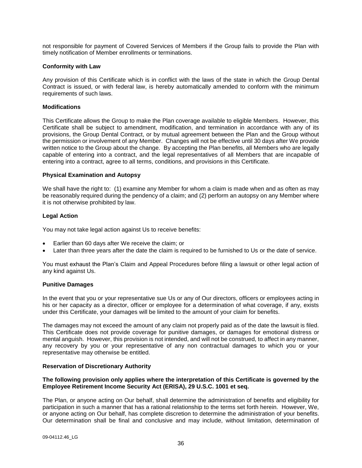not responsible for payment of Covered Services of Members if the Group fails to provide the Plan with timely notification of Member enrollments or terminations.

### **Conformity with Law**

Any provision of this Certificate which is in conflict with the laws of the state in which the Group Dental Contract is issued, or with federal law, is hereby automatically amended to conform with the minimum requirements of such laws.

# **Modifications**

This Certificate allows the Group to make the Plan coverage available to eligible Members. However, this Certificate shall be subject to amendment, modification, and termination in accordance with any of its provisions, the Group Dental Contract, or by mutual agreement between the Plan and the Group without the permission or involvement of any Member. Changes will not be effective until 30 days after We provide written notice to the Group about the change. By accepting the Plan benefits, all Members who are legally capable of entering into a contract, and the legal representatives of all Members that are incapable of entering into a contract, agree to all terms, conditions, and provisions in this Certificate.

# **Physical Examination and Autopsy**

We shall have the right to: (1) examine any Member for whom a claim is made when and as often as may be reasonably required during the pendency of a claim; and (2) perform an autopsy on any Member where it is not otherwise prohibited by law.

# **Legal Action**

You may not take legal action against Us to receive benefits:

- Earlier than 60 days after We receive the claim; or
- Later than three years after the date the claim is required to be furnished to Us or the date of service.

You must exhaust the Plan's Claim and Appeal Procedures before filing a lawsuit or other legal action of any kind against Us.

#### **Punitive Damages**

In the event that you or your representative sue Us or any of Our directors, officers or employees acting in his or her capacity as a director, officer or employee for a determination of what coverage, if any, exists under this Certificate, your damages will be limited to the amount of your claim for benefits.

The damages may not exceed the amount of any claim not properly paid as of the date the lawsuit is filed. This Certificate does not provide coverage for punitive damages, or damages for emotional distress or mental anguish. However, this provision is not intended, and will not be construed, to affect in any manner, any recovery by you or your representative of any non contractual damages to which you or your representative may otherwise be entitled.

#### **Reservation of Discretionary Authority**

### **The following provision only applies where the interpretation of this Certificate is governed by the Employee Retirement Income Security Act (ERISA), 29 U.S.C. 1001 et seq.**

The Plan, or anyone acting on Our behalf, shall determine the administration of benefits and eligibility for participation in such a manner that has a rational relationship to the terms set forth herein. However, We, or anyone acting on Our behalf, has complete discretion to determine the administration of your benefits. Our determination shall be final and conclusive and may include, without limitation, determination of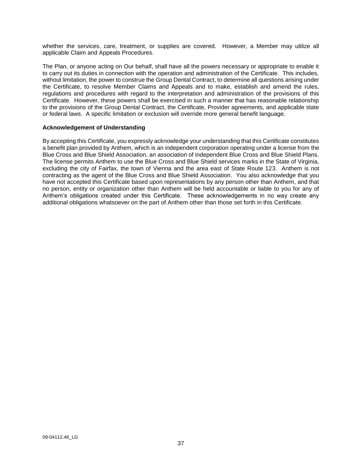whether the services, care, treatment, or supplies are covered. However, a Member may utilize all applicable Claim and Appeals Procedures.

The Plan, or anyone acting on Our behalf, shall have all the powers necessary or appropriate to enable it to carry out its duties in connection with the operation and administration of the Certificate. This includes, without limitation, the power to construe the Group Dental Contract, to determine all questions arising under the Certificate, to resolve Member Claims and Appeals and to make, establish and amend the rules, regulations and procedures with regard to the interpretation and administration of the provisions of this Certificate. However, these powers shall be exercised in such a manner that has reasonable relationship to the provisions of the Group Dental Contract, the Certificate, Provider agreements, and applicable state or federal laws. A specific limitation or exclusion will override more general benefit language.

# **Acknowledgement of Understanding**

By accepting this Certificate, you expressly acknowledge your understanding that this Certificate constitutes a benefit plan provided by Anthem, which is an independent corporation operating under a license from the Blue Cross and Blue Shield Association, an association of independent Blue Cross and Blue Shield Plans. The license permits Anthem to use the Blue Cross and Blue Shield services marks in the State of Virginia, excluding the city of Fairfax, the town of Vienna and the area east of State Route 123. Anthem is not contracting as the agent of the Blue Cross and Blue Shield Association. You also acknowledge that you have not accepted this Certificate based upon representations by any person other than Anthem, and that no person, entity or organization other than Anthem will be held accountable or liable to you for any of Anthem's obligations created under this Certificate. These acknowledgements in no way create any additional obligations whatsoever on the part of Anthem other than those set forth in this Certificate.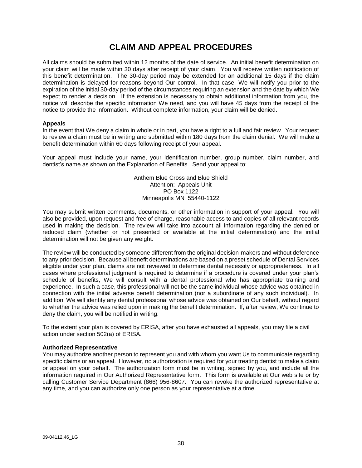# **CLAIM AND APPEAL PROCEDURES**

All claims should be submitted within 12 months of the date of service. An initial benefit determination on your claim will be made within 30 days after receipt of your claim. You will receive written notification of this benefit determination. The 30-day period may be extended for an additional 15 days if the claim determination is delayed for reasons beyond Our control. In that case, We will notify you prior to the expiration of the initial 30-day period of the circumstances requiring an extension and the date by which We expect to render a decision. If the extension is necessary to obtain additional information from you, the notice will describe the specific information We need, and you will have 45 days from the receipt of the notice to provide the information. Without complete information, your claim will be denied.

#### **Appeals**

In the event that We deny a claim in whole or in part, you have a right to a full and fair review. Your request to review a claim must be in writing and submitted within 180 days from the claim denial. We will make a benefit determination within 60 days following receipt of your appeal.

Your appeal must include your name, your identification number, group number, claim number, and dentist's name as shown on the Explanation of Benefits. Send your appeal to:

> Anthem Blue Cross and Blue Shield Attention: Appeals Unit PO Box 1122 Minneapolis MN 55440-1122

You may submit written comments, documents, or other information in support of your appeal. You will also be provided, upon request and free of charge, reasonable access to and copies of all relevant records used in making the decision. The review will take into account all information regarding the denied or reduced claim (whether or not presented or available at the initial determination) and the initial determination will not be given any weight.

The review will be conducted by someone different from the original decision-makers and without deference to any prior decision. Because all benefit determinations are based on a preset schedule of Dental Services eligible under your plan, claims are not reviewed to determine dental necessity or appropriateness. In all cases where professional judgment is required to determine if a procedure is covered under your plan's schedule of benefits, We will consult with a dental professional who has appropriate training and experience. In such a case, this professional will not be the same individual whose advice was obtained in connection with the initial adverse benefit determination (nor a subordinate of any such individual). In addition, We will identify any dental professional whose advice was obtained on Our behalf, without regard to whether the advice was relied upon in making the benefit determination. If, after review, We continue to deny the claim, you will be notified in writing.

To the extent your plan is covered by ERISA, after you have exhausted all appeals, you may file a civil action under section 502(a) of ERISA.

#### **Authorized Representative**

You may authorize another person to represent you and with whom you want Us to communicate regarding specific claims or an appeal. However, no authorization is required for your treating dentist to make a claim or appeal on your behalf. The authorization form must be in writing, signed by you, and include all the information required in Our Authorized Representative form. This form is available at Our web site or by calling Customer Service Department (866) 956-8607. You can revoke the authorized representative at any time, and you can authorize only one person as your representative at a time.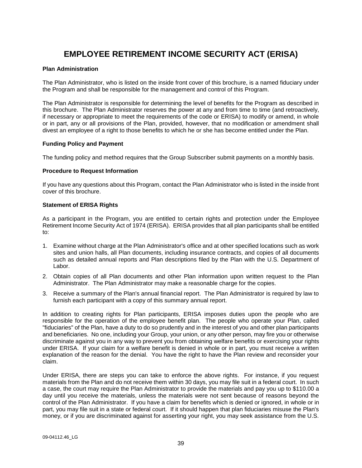# **EMPLOYEE RETIREMENT INCOME SECURITY ACT (ERISA)**

# **Plan Administration**

The Plan Administrator, who is listed on the inside front cover of this brochure, is a named fiduciary under the Program and shall be responsible for the management and control of this Program.

The Plan Administrator is responsible for determining the level of benefits for the Program as described in this brochure. The Plan Administrator reserves the power at any and from time to time (and retroactively, if necessary or appropriate to meet the requirements of the code or ERISA) to modify or amend, in whole or in part, any or all provisions of the Plan, provided, however, that no modification or amendment shall divest an employee of a right to those benefits to which he or she has become entitled under the Plan.

# **Funding Policy and Payment**

The funding policy and method requires that the Group Subscriber submit payments on a monthly basis.

# **Procedure to Request Information**

If you have any questions about this Program, contact the Plan Administrator who is listed in the inside front cover of this brochure.

# **Statement of ERISA Rights**

As a participant in the Program, you are entitled to certain rights and protection under the Employee Retirement Income Security Act of 1974 (ERISA). ERISA provides that all plan participants shall be entitled to:

- 1. Examine without charge at the Plan Administrator's office and at other specified locations such as work sites and union halls, all Plan documents, including insurance contracts, and copies of all documents such as detailed annual reports and Plan descriptions filed by the Plan with the U.S. Department of Labor.
- 2. Obtain copies of all Plan documents and other Plan information upon written request to the Plan Administrator. The Plan Administrator may make a reasonable charge for the copies.
- 3. Receive a summary of the Plan's annual financial report. The Plan Administrator is required by law to furnish each participant with a copy of this summary annual report.

In addition to creating rights for Plan participants, ERISA imposes duties upon the people who are responsible for the operation of the employee benefit plan. The people who operate your Plan, called "fiduciaries" of the Plan, have a duty to do so prudently and in the interest of you and other plan participants and beneficiaries. No one, including your Group, your union, or any other person, may fire you or otherwise discriminate against you in any way to prevent you from obtaining welfare benefits or exercising your rights under ERISA. If your claim for a welfare benefit is denied in whole or in part, you must receive a written explanation of the reason for the denial. You have the right to have the Plan review and reconsider your claim.

Under ERISA, there are steps you can take to enforce the above rights. For instance, if you request materials from the Plan and do not receive them within 30 days, you may file suit in a federal court. In such a case, the court may require the Plan Administrator to provide the materials and pay you up to \$110.00 a day until you receive the materials, unless the materials were not sent because of reasons beyond the control of the Plan Administrator. If you have a claim for benefits which is denied or ignored, in whole or in part, you may file suit in a state or federal court. If it should happen that plan fiduciaries misuse the Plan's money, or if you are discriminated against for asserting your right, you may seek assistance from the U.S.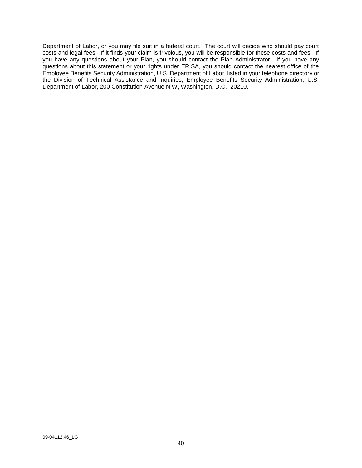Department of Labor, or you may file suit in a federal court. The court will decide who should pay court costs and legal fees. If it finds your claim is frivolous, you will be responsible for these costs and fees. If you have any questions about your Plan, you should contact the Plan Administrator. If you have any questions about this statement or your rights under ERISA, you should contact the nearest office of the Employee Benefits Security Administration, U.S. Department of Labor, listed in your telephone directory or the Division of Technical Assistance and Inquiries, Employee Benefits Security Administration, U.S. Department of Labor, 200 Constitution Avenue N.W, Washington, D.C. 20210.